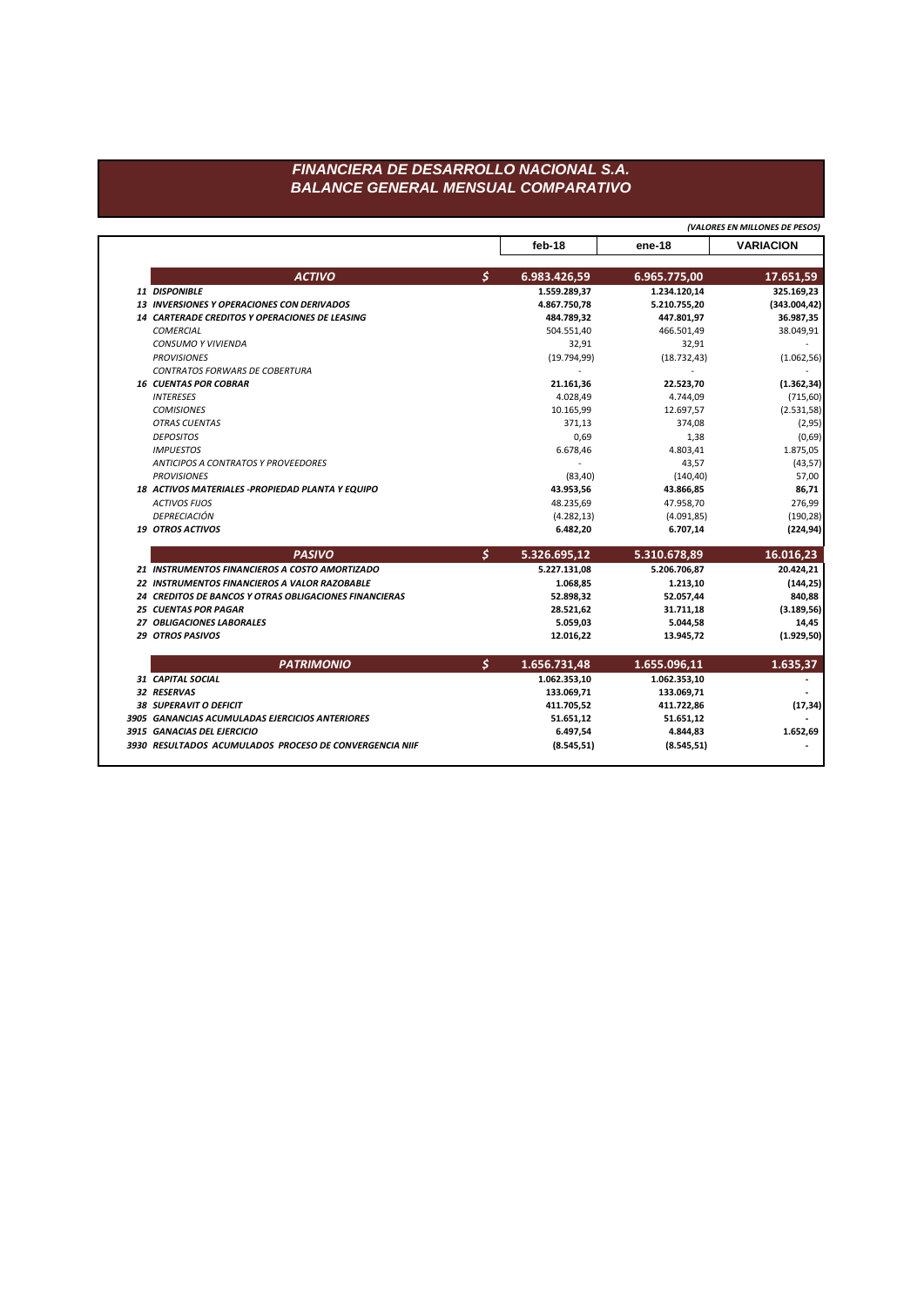## FINANCIERA DE DESARROLLO NACIONAL S.A. **BALANCE GENERAL MENSUAL COMPARATIVO**

|                                                               |    | (VALORES EN MILLONES DE PESOS) |              |                  |
|---------------------------------------------------------------|----|--------------------------------|--------------|------------------|
|                                                               |    | feb-18                         | ene-18       | <b>VARIACION</b> |
| <b>ACTIVO</b>                                                 | \$ | 6.983.426,59                   | 6.965.775,00 | 17.651,59        |
| 11 DISPONIBLE                                                 |    | 1.559.289,37                   | 1.234.120,14 | 325.169,23       |
| 13 INVERSIONES Y OPERACIONES CON DERIVADOS                    |    | 4.867.750,78                   | 5.210.755,20 | (343.004, 42)    |
| <b>14 CARTERADE CREDITOS Y OPERACIONES DE LEASING</b>         |    | 484.789,32                     | 447.801,97   | 36.987,35        |
| <b>COMERCIAL</b>                                              |    | 504.551,40                     | 466.501,49   | 38.049,91        |
| <b>CONSUMO Y VIVIENDA</b>                                     |    | 32,91                          | 32,91        |                  |
| <b>PROVISIONES</b>                                            |    | (19.794, 99)                   | (18.732, 43) | (1.062, 56)      |
| <b>CONTRATOS FORWARS DE COBERTURA</b>                         |    |                                |              |                  |
| <b>16 CUENTAS POR COBRAR</b>                                  |    | 21.161,36                      | 22.523,70    | (1.362, 34)      |
| <b>INTERESES</b>                                              |    | 4.028,49                       | 4.744,09     | (715, 60)        |
| <b>COMISIONES</b>                                             |    | 10.165,99                      | 12.697,57    | (2.531, 58)      |
| <b>OTRAS CUENTAS</b>                                          |    | 371,13                         | 374,08       | (2,95)           |
| <b>DEPOSITOS</b>                                              |    | 0,69                           | 1,38         | (0,69)           |
| <b>IMPUESTOS</b>                                              |    | 6.678,46                       | 4.803,41     | 1.875,05         |
| <b>ANTICIPOS A CONTRATOS Y PROVEEDORES</b>                    |    |                                | 43,57        | (43, 57)         |
| <b>PROVISIONES</b>                                            |    | (83, 40)                       | (140, 40)    | 57,00            |
| 18 ACTIVOS MATERIALES - PROPIEDAD PLANTA Y EQUIPO             |    | 43.953,56                      | 43.866,85    | 86,71            |
| <b>ACTIVOS FIJOS</b>                                          |    | 48.235,69                      | 47.958,70    | 276,99           |
| DEPRECIACIÓN                                                  |    | (4.282, 13)                    | (4.091, 85)  | (190, 28)        |
| <b>19 OTROS ACTIVOS</b>                                       |    | 6.482,20                       | 6.707,14     | (224, 94)        |
| <b>PASIVO</b>                                                 | Ś. | 5.326.695,12                   | 5.310.678,89 | 16.016,23        |
| 21 INSTRUMENTOS FINANCIEROS A COSTO AMORTIZADO                |    | 5.227.131,08                   | 5.206.706,87 | 20.424,21        |
| 22 INSTRUMENTOS FINANCIEROS A VALOR RAZOBABLE                 |    | 1.068,85                       | 1.213,10     | (144, 25)        |
| <b>24 CREDITOS DE BANCOS Y OTRAS OBLIGACIONES FINANCIERAS</b> |    | 52.898,32                      | 52.057,44    | 840,88           |
| <b>25 CUENTAS POR PAGAR</b>                                   |    | 28.521,62                      | 31.711,18    | (3.189, 56)      |
| 27 OBLIGACIONES LABORALES                                     |    | 5.059,03                       | 5.044,58     | 14,45            |
| <b>29 OTROS PASIVOS</b>                                       |    | 12.016.22                      | 13.945.72    | (1.929, 50)      |
| <b>PATRIMONIO</b>                                             | \$ | 1.656.731,48                   | 1.655.096,11 | 1.635,37         |
| 31 CAPITAL SOCIAL                                             |    | 1.062.353,10                   | 1.062.353,10 |                  |
| <b>32 RESERVAS</b>                                            |    | 133.069,71                     | 133.069,71   |                  |
| <b>38 SUPERAVIT O DEFICIT</b>                                 |    | 411.705,52                     | 411.722,86   | (17, 34)         |
| 3905 GANANCIAS ACUMULADAS EJERCICIOS ANTERIORES               |    | 51.651,12                      | 51.651,12    |                  |
|                                                               |    |                                |              |                  |
| 3915 GANACIAS DEL EJERCICIO                                   |    | 6.497,54                       | 4.844,83     | 1.652,69         |